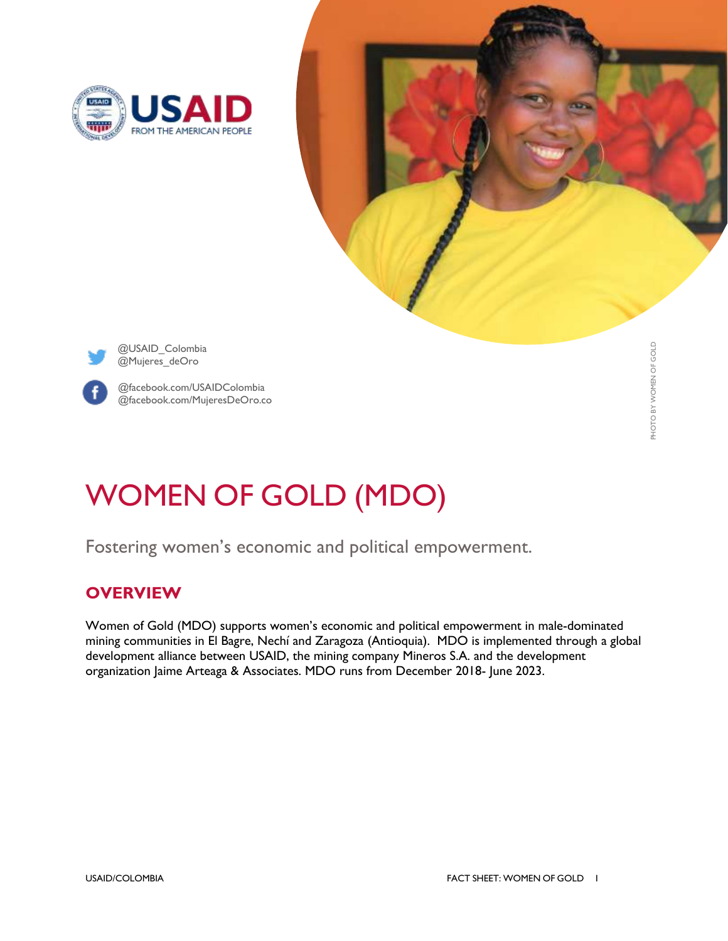





@USAID\_Colombia @Mujeres\_deOro



@facebook.com/USAIDColombia @facebook.com/MujeresDeOro.co

# WOMEN OF GOLD (MDO)

Fostering women's economic and political empowerment.

## **OVERVIEW**

Women of Gold (MDO) supports women's economic and political empowerment in male-dominated mining communities in El Bagre, Nechí and Zaragoza (Antioquia). MDO is implemented through a global development alliance between USAID, the mining company Mineros S.A. and the development organization Jaime Arteaga & Associates. MDO runs from December 2018- June 2023.